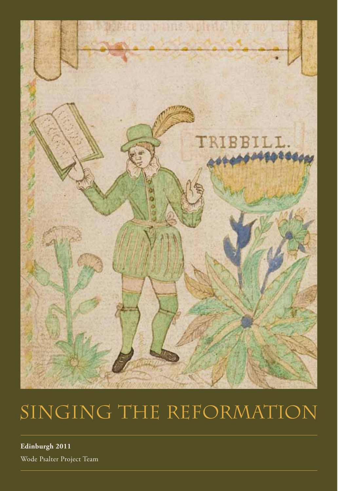

# SINGING THE REFORMATION

**Edinburgh 2011** Wode Psalter Project Team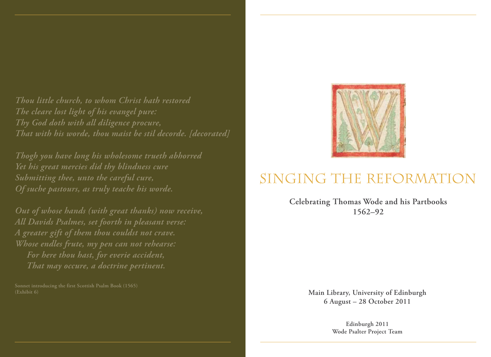*Thou little church, to whom Christ hath restored The cleare lost light of his evangel pure: Thy God doth with all diligence procure, That with his worde, thou maist be stil decorde. [decorated]*

*Thogh you have long his wholesome trueth abhorred Yet his great mercies did thy blindness cure Submitting thee, unto the careful cure, Of suche pastours, as truly teache his worde.*

*Out of whose hands (with great thanks) now receive, All Davids Psalmes, set foorth in pleasant verse: A greater gift of them thou couldst not crave. Whose endles frute, my pen can not rehearse: For here thou hast, for everie accident, That may occure, a doctrine pertinent.*

**Sonnet introducing the first Scottish Psalm Book (1565)**



# SINGING THE REFORMATION

**Celebrating Thomas Wode and his Partbooks 1562–92**

> **Main Library, University of Edinburgh 6 August – 28 October 2011**

> > **Edinburgh 2011 Wode Psalter Project Team**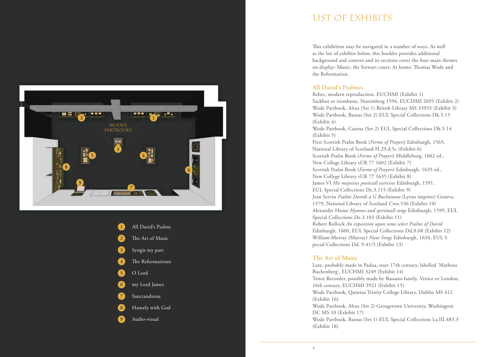



# LIST OF EXHIBITS

This exhibition may be navigated in a number of ways. As well as the list of exhibits below, this booklet provides additional background and context and its sections cover the four main themes on display: Music; the Stewart court; At home; Thomas Wode and the Reformation.

### **All David's Psalmes**

Rebec, modern reproduction, EUCHMI (Exhibit 1) Sackbut or trombone, Nuremberg 1594, EUCHMI 2695 (Exhibit 2) Wode Partbook, Altus (Set 1) British Library MS 33933 (Exhibit 3) Wode Partbook, Bassus (Set 2) EUL Special Collections Dk.5.15 (Exhibit 4) Wode Partbook, Cantus (Set 2) EUL Special Collections Dk.5.14 (Exhibit 5) First Scottish Psalm Book (*Forme of Prayers*) Edinburgh, 1565, National Library of Scotland H.29.d.5c (Exhibit 6) Scottish Psalm Book (*Forme of Prayers*) Middleburg, 1602 ed., New College Library tUR 77 1602 (Exhibit 7) Scottish Psalm Book (*Forme of Prayers*) Edinburgh, 1635 ed., New College Library tUR 77 1635 (Exhibit 8) James VI *His majesties poeticall exercises* Edinburgh, 1591, EUL Special Collections De.3.115 (Exhibit 9) Jean Servin *Psalmi Davidi a G Buchanano* (Lyons imprint) Geneva, 1579, National Library of Scotland Cwn.536 (Exhibit 10) Alexander Hume *Hymnes and spirituall songs* Edinburgh, 1599, EUL Special Collections De.3.103 (Exhibit 11) Robert Rollock *An exposition upon some select Psalms of David* Edinburgh, 1600, EUL Special Collections Dd.8.68 (Exhibit 12) William Morray (Murray) *Nyne Songs* Edinburgh, 1634, EUL S pecial Collections Dd. 9.41/5 (Exhibit 13)

## **The Art of Music**

Lute, probably made in Padua, start 17th century, labelled 'Matheus Buchenberg', EUCHMI 3249 (Exhibit 14) Tenor Recorder, possibly made by Bassano family, Venice or London, 16th century, EUCHMI 3921 (Exhibit 15) Wode Partbook, Quintus Trinity College Library, Dublin MS 412 (Exhibit 16) Wode Partbook, Altus (Set 2) Georgetown University, Washington DC MS 10 (Exhibit 17) Wode Partbook, Bassus (Set 1) EUL Special Collections La.III.483.3 (Exhibit 18)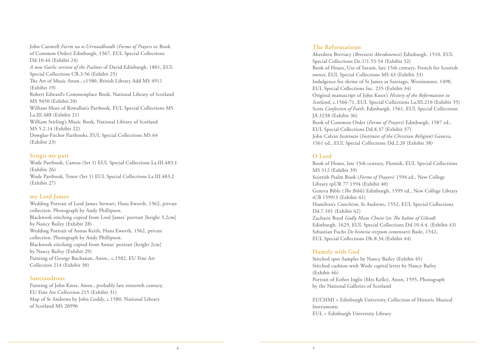John Carswell *Foirm na n-Urrnuidheadh* (*Forme of Prayers* or Book of Common Order) Edinburgh, 1567, EUL Special Collections Dd.10.44 (Exhibit 24) *A new Gaelic version of the Psalmes* of David Edinburgh, 1801, EUL Special Collections CR.3.56 (Exhibit 25) The Art of Music Anon., c1580, British Library Add MS 4911 (Exhibit 19) Robert Edward's Commonplace Book, National Library of Scotland MS 9450 (Exhibit 20) William Mure of Rowallan's Partbook, EUL Special Collections MS La.III.488 (Exhibit 21) William Stirling's Music Book, National Library of Scotland MS 5.2.14 (Exhibit 22) Dowglas-Fischer Partbooks, EUL Special Collections MS 64 (Exhibit 23)

#### **Syngis my part**

Wode Partbook, Cantus (Set 1) EUL Special Collections La.III.483.1 (Exhibit 26) Wode Partbook, Tenor (Set 1) EUL Special Collections La.III.483.2 (Exhibit 27)

#### **my Lord James**

Wedding Portrait of Lord James Stewart, Hans Eworth, 1562, private collection. Photograph by Andy Phillipson. Blackwork stitching copied from Lord James' portrait [height 3.2cm] by Nancy Bailey (Exhibit 28) Wedding Portrait of Annas Keith, Hans Eworth, 1562, private collection. Photograph by Andy Phillipson. Blackwork stitching copied from Annas' portrait [height 2cm] by Nancy Bailey (Exhibit 29) Painting of George Buchanan, Anon., c.1582, EU Fine Art Collection 214 (Exhibit 30)

#### **Sanctandrous**

Painting of John Knox, Anon., probably late sixteenth century, EU Fine Art Collection 215 (Exhibit 31) Map of St Andrews by John Geddy, c.1580, National Library of Scotland MS 20996

#### **The Reformatioun**

Aberdeen Breviary (*Breviarii Aberdonensis*) Edinburgh, 1510, EUL Special Collections De.1/1.53-54 (Exhibit 32) Book of Hours, Use of Sarum, late 15th century, French for Scottish owner, EUL Special Collections MS 43 (Exhibit 33) Indulgence for shrine of St James at Santiago, Westminster, 1498, EUL Special Collections Inc. 235 (Exhibit 34) Original manuscript of John Knox's *History of the Reformation in Scotland*, c.1566-71, EUL Special Collections La.III.210 (Exhibit 35) Scots *Confession of Faith*, Edinburgh, 1561, EUL Special Collections JA 3238 (Exhibit 36) Book of Common Order (*Forme of Prayers*) Edinburgh, 1587 ed., EUL Special Collections Dd.8.37 (Exhibit 37) John Calvin *Institutio* (*Institutes of the Christian Religion*) Geneva, 1561 ed., EUL Special Collections Dd.2.20 (Exhibit 38)

#### **O Lord**

Book of Hours, late 15th century, Flemish, EUL Special Collections MS 312 (Exhibit 39) Scottish Psalm Book (*Forme of Prayers*) 1594 ed., New College Library tpUR 77 1594 (Exhibit 40) Geneva Bible (*The Bible*) Edinburgh, 1599 ed., New College Library tCB 1599/3 (Exhibit 41) Hamilton's *Catechism*, St Andrews, 1552, EUL Special Collections Dd.7.101 (Exhibit 42) Zacharie Boyd *Godly Mans Choise* (in *!e balme of Gilead*) Edinburgh, 1629, EUL Special Collections Dd.10.4.4. (Exhibit 43) Sebastian Fuchs *De historia stirpum comentarii* Basle, 1542, EUL Special Collections Dh.8.34 (Exhibit 44)

## **Hamely with God**

Stitched spot Sampler by Nancy Bailey (Exhibit 45) Stitched cushion with Wode capital letter by Nancy Bailey (Exhibit 46) Portrait of Esther Inglis (Mrs Kello), Anon, 1595, Photograph by the National Galleries of Scotland

EUCHMI = Edinburgh University Collection of Historic Musical Instruments EUL = Edinburgh University Library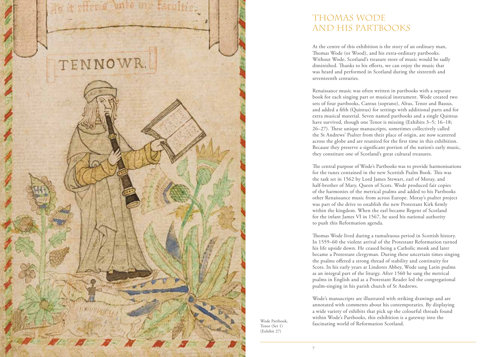

# Thomas Wode and his Partbooks

At the centre of this exhibition is the story of an ordinary man, Thomas Wode (or Wood), and his extra-ordinary partbooks. Without Wode, Scotland's treasure store of music would be sadly diminished. Thanks to his efforts, we can enjoy the music that was heard and performed in Scotland during the sixteenth and seventeenth centuries.

Renaissance music was often written in partbooks with a separate book for each singing part or musical instrument. Wode created two sets of four partbooks, Cantus (soprano), Altus, Tenor and Bassus, and added a fifth (Quintus) for settings with additional parts and for extra musical material. Seven named partbooks and a single Quintus have survived, though one Tenor is missing (Exhibits 3–5; 16–18; 26–27). These unique manuscripts, sometimes collectively called the St Andrews' Psalter from their place of origin, are now scattered across the globe and are reunited for the first time in this exhibition. Because they preserve a significant portion of the nation's early music, they constitute one of Scotland's great cultural treasures.

The central purpose of Wode's Partbooks was to provide harmonisations for the tunes contained in the new Scottish Psalm Book. This was the task set in 1562 by Lord James Stewart, earl of Moray, and half-brother of Mary, Queen of Scots. Wode produced fair copies of the harmonies of the metrical psalms and added to his Partbooks other Renaissance music from across Europe. Moray's psalter project was part of the drive to establish the new Protestant Kirk firmly within the kingdom. When the earl became Regent of Scotland for the infant James VI in 1567, he used his national authority to push this Reformation agenda.

Thomas Wode lived during a tumultuous period in Scottish history. In 1559–60 the violent arrival of the Protestant Reformation turned his life upside down. He ceased being a Catholic monk and later became a Protestant clergyman. During these uncertain times singing the psalms offered a strong thread of stability and continuity for Scots. In his early years at Lindores Abbey, Wode sang Latin psalms as an integral part of the liturgy. After 1560 he sang the metrical psalms in English and as a Protestant Reader led the congregational psalm-singing in his parish church of St Andrews.

Wode's manuscripts are illustrated with striking drawings and are annotated with comments about his contemporaries. By displaying a wide variety of exhibits that pick up the colourful threads found within Wode's Partbooks, this exhibition is a gateway into the fascinating world of Reformation Scotland.

Wode Partbook, Tenor (Set 1) (Exhibit 27)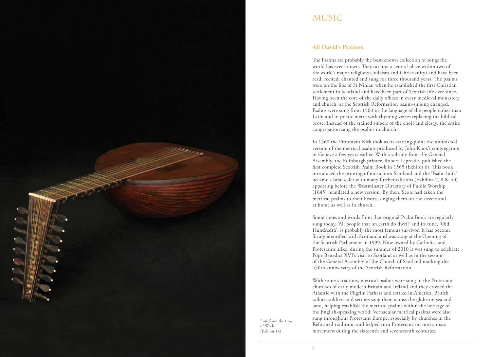

# **MUSIC**

### **All David's Psalmes**

The Psalms are probably the best-known collection of songs the world has ever known. They occupy a central place within two of the world's major religions (Judaism and Christianity) and have been read, recited, chanted and sung for three thousand years. The psalms were on the lips of St Ninian when he established the first Christian settlement in Scotland and have been part of Scottish life ever since. Having been the core of the daily offices in every medieval monastery and church, at the Scottish Reformation psalm-singing changed. Psalms were sung from 1560 in the language of the people rather than Latin and in poetic metre with rhyming verses replacing the biblical prose. Instead of the trained singers of the choir and clergy, the entire congregation sang the psalms in church.

In 1560 the Protestant Kirk took as its starting-point the unfinished version of the metrical psalms produced by John Knox's congregation in Geneva a few years earlier. With a subsidy from the General Assembly, the Edinburgh printer, Robert Lepreuik, published the first complete Scottish Psalm Book in 1565 (Exhibit 6). This book introduced the printing of music into Scotland and the 'Psalm buik' became a best-seller with many further editions (Exhibits 7, 8 & 40) appearing before the Westminster Directory of Public Worship (1645) mandated a new version. By then, Scots had taken the metrical psalms to their hearts, singing them on the streets and at home as well as in church.

Some tunes and words from that original Psalm Book are regularly sung today. 'All people that on earth do dwell' and its tune, 'Old Hundredth', is probably the most famous survivor. It has become firmly identified with Scotland and was sung at the Opening of the Scottish Parliament in 1999. Now owned by Catholics and Protestants alike, during the summer of 2010 it was sung to celebrate Pope Benedict XVI's visit to Scotland as well as in the session of the General Assembly of the Church of Scotland marking the 450th anniversary of the Scottish Reformation.

With some variations, metrical psalms were sung in the Protestant churches of early modern Britain and Ireland and they crossed the Atlantic with the Pilgrim Fathers and settled in America. British sailors, soldiers and settlers sang them across the globe on sea and land, helping establish the metrical psalms within the heritage of the English-speaking world. Vernacular metrical psalms were also sung throughout Protestant Europe, especially by churches in the Reformed tradition, and helped turn Protestantism into a mass movement during the sixteenth and seventeenth centuries.

Lute from the time of Wode (Exhibit 14)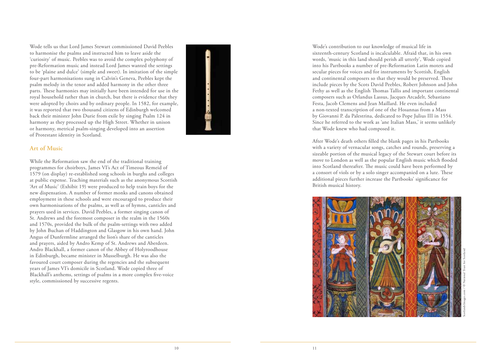Wode tells us that Lord James Stewart commissioned David Peebles to harmonise the psalms and instructed him to leave aside the 'curiosity' of music. Peebles was to avoid the complex polyphony of pre-Reformation music and instead Lord James wanted the settings to be 'plaine and dulce' (simple and sweet). In imitation of the simple four-part harmonisations sung in Calvin's Geneva, Peebles kept the psalm melody in the tenor and added harmony in the other three parts. These harmonies may initially have been intended for use in the royal household rather than in church, but there is evidence that they were adopted by choirs and by ordinary people. In 1582, for example, it was reported that two thousand citizens of Edinburgh welcomed back their minister John Durie from exile by singing Psalm 124 in harmony as they processed up the High Street. Whether in unison or harmony, metrical psalm-singing developed into an assertion of Protestant identity in Scotland.

### **Art of Music**

While the Reformation saw the end of the traditional training programmes for choirboys, James VI's Act of Timeous Remeid of 1579 (on display) re-established song schools in burghs and colleges at public expense. Teaching materials such as the anonymous Scottish 'Art of Music' (Exhibit 19) were produced to help train boys for the new dispensation. A number of former monks and canons obtained employment in these schools and were encouraged to produce their own harmonisations of the psalms, as well as of hymns, canticles and prayers used in services. David Peebles, a former singing canon of St. Andrews and the foremost composer in the realm in the 1560s and 1570s, provided the bulk of the psalm-settings with two added by John Buchan of Haddington and Glasgow in his own hand. John Angus of Dunfermline arranged the lion's share of the canticles and prayers, aided by Andro Kemp of St. Andrews and Aberdeen. Andro Blackhall, a former canon of the Abbey of Holyroodhouse in Edinburgh, became minister in Musselburgh. He was also the favoured court composer during the regencies and the subsequent years of James VI's domicile in Scotland. Wode copied three of Blackhall's anthems, settings of psalms in a more complex five-voice style, commissioned by successive regents.

Wode's contribution to our knowledge of musical life in sixteenth-century Scotland is incalculable. Afraid that, in his own words, 'music in this land should perish all utterly', Wode copied into his Partbooks a number of pre-Reformation Latin motets and secular pieces for voices and for instruments by Scottish, English and continental composers so that they would be preserved. These include pieces by the Scots David Peebles, Robert Johnson and John Fethy as well as the English Thomas Tallis and important continental composers such as Orlandus Lassus, Jacques Arcadelt, Sebastiano Festa, Jacob Clemens and Jean Maillard. He even included a non-texted transcription of one of the Hosannas from a Mass by Giovanni P. da Palestrina, dedicated to Pope Julius III in 1554. Since he referred to the work as 'ane Italian Mass,' it seems unlikely that Wode knew who had composed it.

After Wode's death others filled the blank pages in his Partbooks with a variety of vernacular songs, catches and rounds, preserving a sizeable portion of the musical legacy of the Stewart court before its move to London as well as the popular English music which flooded into Scotland thereafter. The music could have been performed by a consort of viols or by a solo singer accompanied on a lute. These additional pieces further increase the Partbooks' significance for British musical history.

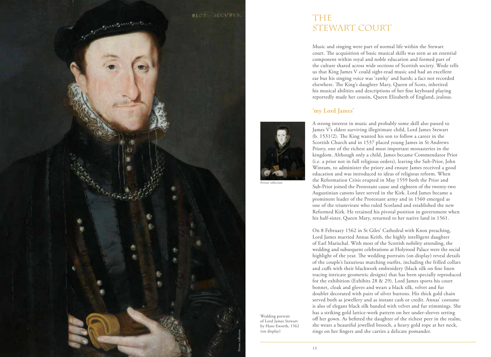

# **THE** STEWART COURT

Music and singing were part of normal life within the Stewart court. The acquisition of basic musical skills was seen as an essential component within royal and noble education and formed part of the culture shared across wide sections of Scottish society. Wode tells us that King James V could sight-read music and had an excellent ear but his singing voice was 'rawky' and harsh; a fact not recorded elsewhere. The King's daughter Mary, Queen of Scots, inherited his musical abilities and descriptions of her fine keyboard playing reportedly made her cousin, Queen Elizabeth of England, jealous.

## **'my Lord James'**



Private collection

Wedding portrait of Lord James Stewart by Hans Eworth, 1562

(on display)

A strong interest in music and probably some skill also passed to James V's eldest surviving illegitimate child, Lord James Stewart (b.  $1531/2$ ). The King wanted his son to follow a career in the Scottish Church and in 1537 placed young James in St Andrews Priory, one of the richest and most important monasteries in the kingdom. Although only a child, James became Commendator Prior (i.e. a prior not in full religious orders), leaving the Sub-Prior, John Winram, to administer the priory and ensure James received a good education and was introduced to ideas of religious reform. When the Reformation Crisis erupted in May 1559 both the Prior and Sub-Prior joined the Protestant cause and eighteen of the twenty-two Augustinian canons later served in the Kirk. Lord James became a prominent leader of the Protestant army and in 1560 emerged as one of the triumvirate who ruled Scotland and established the new Reformed Kirk. He retained his pivotal position in government when his half-sister, Queen Mary, returned to her native land in 1561.

On 8 February 1562 in St Giles' Cathedral with Knox preaching, Lord James married Annas Keith, the highly intelligent daughter of Earl Marischal. With most of the Scottish nobility attending, the wedding and subsequent celebrations at Holyrood Palace were the social highlight of the year. The wedding portraits (on display) reveal details of the couple's luxurious matching outfits, including the frilled collars and cuffs with their blackwork embroidery (black silk on fine linen tracing intricate geometric designs) that has been specially reproduced for the exhibition (Exhibits 28 & 29). Lord James sports his court bonnet, cloak and gloves and wears a black silk, velvet and fur doublet decorated with pairs of silver buttons. His thick gold chain served both as jewellery and as instant cash or credit. Annas' costume is also of elegant black silk banded with velvet and fur trimmings. She has a striking gold lattice-work pattern on her under-sleeves setting off her gown. As befitted the daughter of the richest peer in the realm, she wears a beautiful jewelled brooch, a heavy gold rope at her neck, rings on her fingers and she carries a delicate pomander.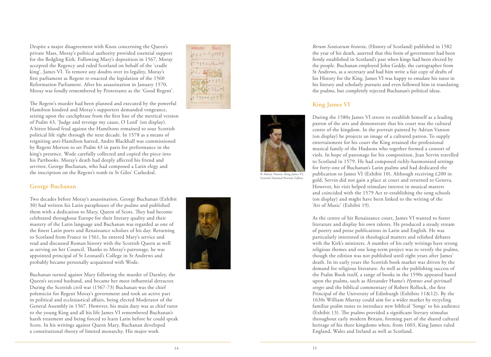Despite a major disagreement with Knox concerning the Queen's private Mass, Moray's political authority provided essential support for the fledgling Kirk. Following Mary's deposition in 1567, Moray accepted the Regency and ruled Scotland on behalf of the 'cradle king', James VI. To remove any doubts over its legality, Moray's first parliament as Regent re-enacted the legislation of the 1560 Reformation Parliament. After his assassination in January 1570, Moray was fondly remembered by Protestants as the 'Good Regent'.

The Regent's murder had been planned and executed by the powerful

**BEATIME XUIL** 2011-11-12  $\frac{1}{2} + \frac{1}{2} + \frac{1}{2} + \frac{1}{2} + \frac{1}{2} + \frac{1}{2} + \frac{1}{2} + \frac{1}{2} + \frac{1}{2} + \frac{1}{2} + \frac{1}{2} + \frac{1}{2} + \frac{1}{2} + \frac{1}{2} + \frac{1}{2} + \frac{1}{2} + \frac{1}{2} + \frac{1}{2} + \frac{1}{2} + \frac{1}{2} + \frac{1}{2} + \frac{1}{2} + \frac{1}{2} + \frac{1}{2} + \frac{1}{2} + \frac{1}{2} + \frac{1}{2} + \frac{1$  $41144444111$ 

Hamilton kindred and Moray's supporters demanded vengeance, seizing upon the catchphrase from the first line of the metrical version of Psalm 43, 'Judge and revenge my cause, O Lord' (on display). A bitter blood feud against the Hamiltons remained to sour Scottish political life right through the next decade. In 1578 as a means of reigniting anti-Hamilton hatred, Andro Blackhall was commissioned by Regent Morton to set Psalm 43 in parts for performance in the king's presence. Wode carefully collected and copied the piece into his Partbooks. Moray's death had deeply affected his friend and servitor, George Buchanan, who had composed a Latin elegy and the inscription on the Regent's tomb in St Giles' Cathedral.

#### **George Buchanan**

Two decades before Moray's assassination, George Buchanan (Exhibit 30) had written his Latin paraphrases of the psalms and published them with a dedication to Mary, Queen of Scots. They had become celebrated throughout Europe for their literary quality and their mastery of the Latin language and Buchanan was regarded as one of the finest Latin poets and Renaissance scholars of his day. Returning to Scotland from France in 1561, he entered Mary's service and read and discussed Roman history with the Scottish Queen as well as serving on her Council. Thanks to Moray's patronage, he was appointed principal of St Leonard's College in St Andrews and probably became personally acquainted with Wode.

Buchanan turned against Mary following the murder of Darnley, the Queen's second husband, and became her most influential detractor. During the Scottish civil war (1567-73) Buchanan was the chief polemicist for Regent Moray's government and took an active part in political and ecclesiastical affairs, being elected Moderator of the General Assembly in 1567. However, his main duty was as chief tutor to the young King and all his life James VI remembered Buchanan's harsh treatment and being forced to learn Latin before he could speak Scots. In his writings against Queen Mary, Buchanan developed a constitutional theory of limited monarchy. His major work

*Rerum Scoticarum historia*, (History of Scotland) published in 1582 firmly established in Scotland's past when kings had been elected by the people. Buchanan employed John Geddy, the cartographer from St Andrews, as a secretary and had him write a fair copy of drafts of his History for the King. James VI was happy to emulate his tutor in his literary and scholarly pursuits and even followed him in translating the psalms, but completely rejected Buchanan's political ideas.

## **King James VI**

During the 1580s James VI strove to establish himself as a leading patron of the arts and demonstrate that his court was the cultural centre of the kingdom. In the portrait painted by Adrian Vanson (on display) he projects an image of a cultured patron. To supply entertainment for his court the King retained the professional musical family of the Hudsons who together formed a consort of viols. In hope of patronage for his composition, Jean Servin travelled to Scotland in 1579. He had composed richly-harmonised settings for forty-one of Buchanan's Latin psalms and had dedicated the publication to James VI (Exhibit 10). Although receiving £200 in gold, Servin did not gain a place at court and returned to Geneva. However, his visit helped stimulate interest in musical matters and coincided with the 1579 Act re-establishing the song schools (on display) and might have been linked to the writing of the 'Art of Music' (Exhibit 19).

As the centre of his Renaissance court, James VI wanted to foster literature and display his own talents. He produced a steady stream of poetry and prose publications in Latin and English. He was particularly interested in theological matters and relished debates with the Kirk's ministers. A number of his early writings have strong religious themes and one long-term project was to versify the psalms, though the edition was not published until eight years after James' death. In its early years the Scottish book market was driven by the demand for religious literature. As well as the publishing success of the Psalm Book itself, a range of books in the 1590s appeared based upon the psalms, such as Alexander Hume's *Hymnes and spirituall*  songes and the biblical commentary of Robert Rollock, the first Principal of the University of Edinburgh (Exhibits 11&12). By the 1630s William Murray could aim for a wider market by recycling familiar psalm tunes to introduce new biblical 'Songs' to his audience (Exhibit 13). The psalms provided a significant literary stimulus throughout early modern Britain, forming part of the shared cultural heritage of his three kingdoms when, from 1603, King James ruled England, Wales and Ireland as well as Scotland.



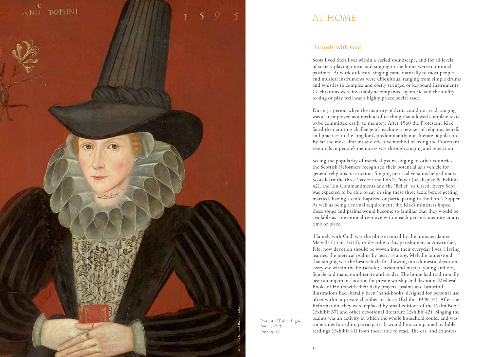

# AT HOME

# **'Hamely with God'**

Scots lived their lives within a varied soundscape, and for all levels of society playing music and singing in the home were traditional pastimes. At work or leisure singing came naturally to most people and musical instruments were ubiquitous, ranging from simple drums and whistles to complex and costly stringed or keyboard instruments. Celebrations were invariably accompanied by music and the ability to sing or play well was a highly prized social asset.

During a period when the majority of Scots could not read, singing was also employed as a method of teaching that allowed complete texts to be committed easily to memory. After 1560 the Protestant Kirk faced the daunting challenge of teaching a new set of religious beliefs and practices to the kingdom's predominantly non-literate population. By far the most efficient and effective method of fixing the Protestant essentials in people's memories was through singing and repetition.

Seeing the popularity of metrical psalm-singing in other countries, the Scottish Reformers recognised their potential as a vehicle for general religious instruction. Singing metrical versions helped many Scots learn the three 'basics': the Lord's Prayer (on display & Exhibit 42), the Ten Commandments and the 'Belief' or Creed. Every Scot was expected to be able to say or sing these three texts before getting married, having a child baptised or participating in the Lord's Supper. As well as being a formal requirement, the Kirk's ministers hoped these songs and psalms would become so familiar that they would be available as a devotional resource within each person's memory at any time or place.

'Hamely with God' was the phrase coined by the minister, James Melville (1556–1614), to describe to his parishioners at Anstruther, Fife, how devotion should be woven into their everyday lives. Having learned the metrical psalms by heart as a boy, Melville understood that singing was the best vehicle for drawing into domestic devotion everyone within the household; servant and master, young and old, female and male, non-literate and reader. The home had traditionally been an important location for private worship and devotion. Medieval Books of Hours with their daily prayers, psalms and beautiful illustrations had literally been 'hand-books' designed for personal use, often within a private chamber or closet (Exhibit 39 & 33). After the Reformation, they were replaced by small editions of the Psalm Book (Exhibit 37) and other devotional literature (Exhibit 43). Singing the psalms was an activity in which the whole household could, and was sometimes forced to, participate. It would be accompanied by bible readings (Exhibit 41) from those able to read. The earl and countess

Portrait of Esther Inglis, Anon., 1595 (on display)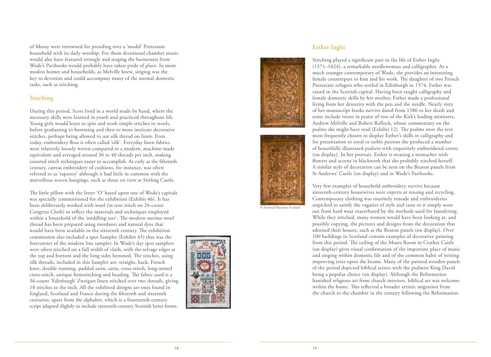of Moray were renowned for presiding over a 'model' Protestant household with its daily worship. For them devotional chamber music would also have featured strongly and singing the harmonies from Wode's Partbooks would probably have taken pride of place. In more modest homes and households, as Melville knew, singing was the key to devotion and could accompany many of the normal domestic tasks, such as stitching.

#### **Stitching**

During this period, Scots lived in a world made by hand, where the necessary skills were learned in youth and practiced throughout life. Young girls would learn to spin and work simple stitches in wools, before graduating to hemming and then to more intricate decorative stitches, perhaps being allowed to use silk thread on linen. Even today, embroidery floss is often called 'silk'. Everyday linen fabrics were relatively loosely woven compared to a modern, machine-made equivalent and averaged around 36 to 40 threads per inch, making counted stitch techniques easier to accomplish. As early as the fifteenth century, canvas embroidery of cushions, for instance, was often referred to as 'tapestry' although it had little in common with the marvellous woven hangings, such as those on view at Stirling Castle.

The little pillow with the letter 'O' based upon one of Wode's capitals was specially commissioned for the exhibition (Exhibit 46). It has been deliberately worked with wool (in tent stitch on 24-count Congress Cloth) to reflect the materials and techniques employed within a household of the 'middling sort'. The modern merino wool thread has been prepared using mordants and natural dyes that would have been available in the sixteenth century. The exhibition commission also included a spot Sampler (Exhibit 45) that was the forerunner of the modern line sampler. In Wode's day spot samplers were often stitched on a full width of cloth, with the selvage edges at the top and bottom and the long sides hemmed. The stitches, using silk threads, included in this Sampler are: straight, back, French knot, double running, padded satin, satin, cross-stitch, long-armed cross-stitch, antique hemstitching and beading. The fabric used is a 36-count 'Edinburgh' Zweigart linen stitched over two threads, giving 18 stitches to the inch. All the exhibited designs are ones found in England, Scotland and France during the fifteenth and sixteenth centuries, apart from the alphabet, which is a fourteenth-century script adapted slightly to include sixteenth-century Scottish letter forms.



### **Esther Inglis**





© National Museums Scotland

Stitching played a significant part in the life of Esther Inglis (1571–1624), a remarkable needlewoman and calligrapher. As a much younger contemporary of Wode, she provides an interesting female counterpart to him and his work. The daughter of two French Protestant refugees who settled in Edinburgh in 1574, Esther was raised in the Scottish capital. Having been taught calligraphy and female domestic skills by her mother, Esther made a professional living from her dexterity with the pen and the needle. Nearly sixty of her manuscript books survive dated from 1586 to her death and some include verses in praise of two of the Kirk's leading ministers, Andrew Melville and Robert Rollock, whose commentary on the psalms she might have read (Exhibit 12). The psalms were the text most frequently chosen to display Esther's skills in calligraphy and for presentation to royal or noble patrons she produced a number of beautifully illustrated psalters with exquisitely embroidered covers flowers and acorns in blackwork that she probably stitched herself. A similar style of decoration can be seen on the Beaton panels from St Andrews' Castle (on display) and in Wode's Partbooks.

Very few examples of household embroidery survive because sixteenth-century housewives were experts at reusing and recycling. Contemporary clothing was routinely remade and embroideries unpicked to satisfy the vagaries of style and taste or it simply wore out from hard wear exacerbated by the methods used for laundering. While they stitched, many women would have been looking at, and possibly copying, the pictures and designs from the decoration that adorned their houses, such as the Beaton panels (on display). Over 100 buildings in Scotland contain examples of decorative painting from this period. The ceiling of the Muses Room in Crathes Castle (on display) gives visual confirmation of the important place of music and singing within domestic life and of the common habit of writing improving texts upon the beams. Many of the painted wooden panels of the period depicted biblical scenes with the psalmist King David being a popular choice (on display). Although the Reformation banished religious art from church interiors, biblical art was welcome within the home. This reflected a broader artistic migration from the church to the chamber in the century following the Reformation.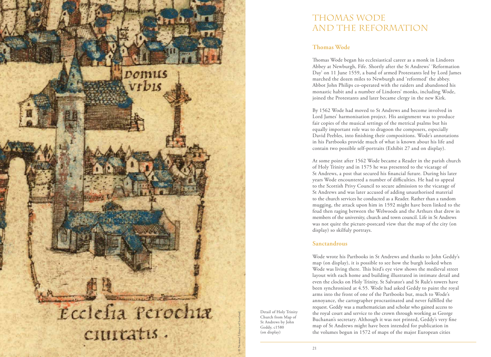

Detail of Holy Trinity Church from Map of St Andrews by John Geddy, c1580 (on display)

# THOMAS WODE AND THE REFORMATION

# **Thomas Wode**

Thomas Wode began his ecclesiastical career as a monk in Lindores Abbey at Newburgh, Fife. Shortly after the St Andrews' 'Reformation Day' on 11 June 1559, a band of armed Protestants led by Lord James marched the dozen miles to Newburgh and 'reformed' the abbey. Abbot John Philips co-operated with the raiders and abandoned his monastic habit and a number of Lindores' monks, including Wode, joined the Protestants and later became clergy in the new Kirk.

By 1562 Wode had moved to St Andrews and become involved in Lord James' harmonisation project. His assignment was to produce fair copies of the musical settings of the metrical psalms but his equally important role was to dragoon the composers, especially David Peebles, into finishing their compositions. Wode's annotations in his Partbooks provide much of what is known about his life and contain two possible self-portraits (Exhibit 27 and on display).

At some point after 1562 Wode became a Reader in the parish church of Holy Trinity and in 1575 he was presented to the vicarage of St Andrews, a post that secured his financial future. During his later years Wode encountered a number of difficulties. He had to appeal to the Scottish Privy Council to secure admission to the vicarage of St Andrews and was later accused of adding unauthorised material to the church services he conducted as a Reader. Rather than a random mugging, the attack upon him in 1592 might have been linked to the feud then raging between the Welwoods and the Arthurs that drew in members of the university, church and town council. Life in St Andrews was not quite the picture-postcard view that the map of the city (on display) so skilfuly portrays.

# **Sanctandrous**

Wode wrote his Partbooks in St Andrews and thanks to John Geddy's map (on display), it is possible to see how the burgh looked when Wode was living there. This bird's eye view shows the medieval street layout with each home and building illustrated in intimate detail and even the clocks on Holy Trinity, St Salvator's and St Rule's towers have been synchronised at 4.55. Wode had asked Geddy to paint the royal arms into the front of one of the Partbooks but, much to Wode's annoyance, the cartographer procrastinated and never fulfilled the request. Geddy was a mathematician and scholar who gained access to the royal court and service to the crown through working as George Buchanan's secretary. Although it was not printed, Geddy's very fine map of St Andrews might have been intended for publication in the volumes begun in 1572 of maps of the major European cities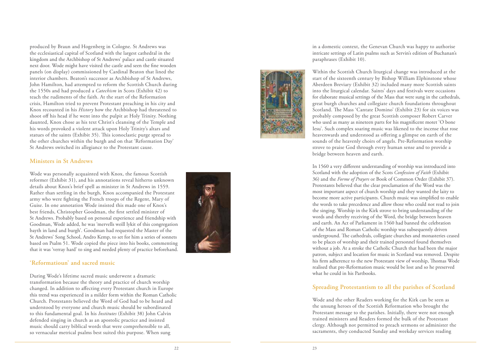produced by Braun and Hogenberg in Cologne. St Andrews was the ecclesiastical capital of Scotland with the largest cathedral in the kingdom and the Archbishop of St Andrews' palace and castle situated next door. Wode might have visited the castle and seen the fine wooden panels (on display) commissioned by Cardinal Beaton that lined the interior chambers. Beaton's successor as Archbishop of St Andrews, John Hamilton, had attempted to reform the Scottish Church during the 1550s and had produced a *Catechism* in Scots (Exhibit 42) to teach the rudiments of the faith. At the start of the Reformation crisis, Hamilton tried to prevent Protestant preaching in his city and Knox recounted in his *History* how the Archbishop had threatened to shoot off his head if he went into the pulpit at Holy Trinity. Nothing daunted, Knox chose as his text Christ's cleansing of the Temple and his words provoked a violent attack upon Holy Trinity's altars and statues of the saints (Exhibit 35). This iconoclastic purge spread to the other churches within the burgh and on that 'Reformation Day' St Andrews switched its allegiance to the Protestant cause.

#### **Ministers in St Andrews**

Wode was personally acquainted with Knox, the famous Scottish reformer (Exhibit 31), and his annotations reveal hitherto unknown details about Knox's brief spell as minister in St Andrews in 1559. Rather than settling in the burgh, Knox accompanied the Protestant army who were fighting the French troops of the Regent, Mary of Guise. In one annotation Wode insisted this made one of Knox's best friends, Christopher Goodman, the first settled minister of St Andrews. Probably based on personal experience and friendship with Goodman, Wode added, he was 'mervells weill lykit of this congregation bayth in land and burgh'. Goodman had requested the Master of the St Andrews' Song School, Andro Kemp, to set for him a series of sonnets based on Psalm 51. Wode copied the piece into his books, commenting that it was 'verray hard' to sing and needed plenty of practice beforehand.

#### **'Reformatioun' and sacred music**

During Wode's lifetime sacred music underwent a dramatic transformation because the theory and practice of church worship changed. In addition to affecting every Protestant church in Europe this trend was experienced in a milder form within the Roman Catholic Church. Protestants believed the Word of God had to be heard and understood by everyone and church music should be subordinated to this fundamental goal. In his *Institutes* (Exhibit 38) John Calvin defended singing in church as an apostolic practice and insisted music should carry biblical words that were comprehensible to all, so vernacular metrical psalms best suited this purpose. When sung



in a domestic context, the Genevan Church was happy to authorise intricate settings of Latin psalms such as Servin's edition of Buchanan's paraphrases (Exhibit 10).



Within the Scottish Church liturgical change was introduced at the start of the sixteenth century by Bishop William Elphinstone whose Aberdeen Breviary (Exhibit 32) included many more Scottish saints into the liturgical calendar. Saints' days and festivals were occasions for elaborate musical settings of the Mass that were sung in the cathedrals, great burgh churches and collegiate church foundations throughout Scotland. The Mass 'Cantate Domino' (Exhibit 23) for six voices was probably composed by the great Scottish composer Robert Carver who used as many as nineteen parts for his magnificent motet 'O bone Iesu'. Such complex soaring music was likened to the incense that rose heavenwards and understood as offering a glimpse on earth of the sounds of the heavenly choirs of angels. Pre-Reformation worship strove to praise God through every human sense and to provide a bridge between heaven and earth.

In 1560 a very different understanding of worship was introduced into Scotland with the adoption of the Scots *Confession of Faith* (Exhibit 36) and the *Forme of Prayers* or Book of Common Order (Exhibit 37). Protestants believed that the clear proclamation of the Word was the most important aspect of church worship and they wanted the laity to become more active participants. Church music was simplified to enable the words to take precedence and allow those who could not read to join the singing. Worship in the Kirk strove to bring understanding of the words and thereby receiving of the Word, the bridge between heaven and earth. An Act of Parliament in 1560 had banned the celebration of the Mass and Roman Catholic worship was subsequently driven underground. The cathedrals, collegiate churches and monasteries ceased to be places of worship and their trained personnel found themselves without a job. At a stroke the Catholic Church that had been the major patron, subject and location for music in Scotland was removed. Despite his firm adherence to the new Protestant view of worship, Thomas Wode realised that pre-Reformation music would be lost and so he preserved what he could in his Partbooks.

#### **Spreading Protestantism to all the parishes of Scotland**

Wode and the other Readers working for the Kirk can be seen as the unsung heroes of the Scottish Reformation who brought the Protestant message to the parishes. Initially, there were not enough trained ministers and Readers formed the bulk of the Protestant clergy. Although not permitted to preach sermons or administer the sacraments, they conducted Sunday and weekday services reading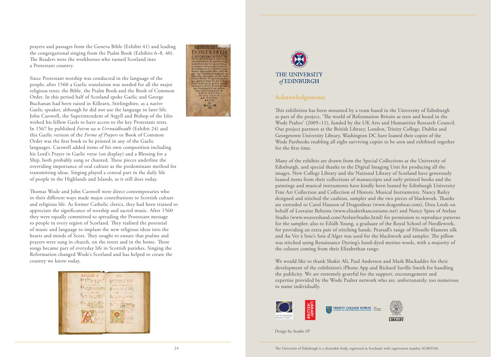prayers and passages from the Geneva Bible (Exhibit 41) and leading the congregational singing from the Psalm Book (Exhibits 6–8, 40). The Readers were the workhorses who turned Scotland into a Protestant country.

Since Protestant worship was conducted in the language of the people, after 1560 a Gaelic translation was needed for all the major religious texts: the Bible, the Psalm Book and the Book of Common Order. In this period half of Scotland spoke Gaelic and George Buchanan had been raised in Killearn, Stirlingshire, as a native Gaelic speaker, although he did not use the language in later life. John Carswell, the Superintendent of Argyll and Bishop of the Isles wished his fellow Gaels to have access to the key Protestant texts. In 1567 he published *Foirm na n-Urrnuidheadh* (Exhibit 24) and this Gaelic version of the *Forme of Prayers* or Book of Common Order was the first book to be printed in any of the Gaelic languages. Carswell added items of his own composition including his Lord's Prayer in Gaelic verse (on display) and a Blessing for a Ship, both probably sung or chanted. These pieces underline the overriding importance of oral culture as the predominant method for transmitting ideas. Singing played a central part in the daily life of people in the Highlands and Islands, as it still does today.

Thomas Wode and John Carswell were direct contemporaries who in their different ways made major contributions to Scottish culture and religious life. As former Catholic clerics, they had been trained to appreciate the significance of worship and sacred music. After 1560 they were equally committed to spreading the Protestant message to people in every region of Scotland. They realised the potential of music and language to implant the new religious ideas into the hearts and minds of Scots. They sought to ensure that psalms and prayers were sung in church, on the street and in the home. These songs became part of everyday life in Scottish parishes. Singing the Reformation changed Wode's Scotland and has helped to create the country we know today.







#### **Acknowledgements**

This exhibition has been mounted by a team based in the University of Edinburgh as part of the project, 'The world of Reformation Britain as seen and heard in the Wode Psalter' (2009–11), funded by the UK Arts and Humanities Research Council. Our project partners at the British Library, London, Trinity College, Dublin and Georgetown University Library, Washington DC have loaned their copies of the Wode Partbooks enabling all eight surviving copies to be seen and exhibited together for the first time.

Many of the exhibits are drawn from the Special Collections at the University of Edinburgh, and special thanks to the Digital Imaging Unit for producing all the images. New College Library and the National Library of Scotland have generously loaned items from their collections of manuscripts and early printed books and the paintings and musical instruments have kindly been loaned by Edinburgh University Fine Art Collection and Collection of Historic Musical Instruments. Nancy Bailey designed and stitched the cushion, sampler and the two pieces of blackwork. Thanks are extended to Carol Hanson of Dragonbear (www.dragonbear.com), Drea Leeds on behalf of Lorraine Behrens (www.elizabethancostume.net) and Nancy Spies of Arelate Studio (www.weavershand.com/ArelateStudio.html) for permission to reproduce patterns for the sampler; also to Eilidh Young, a graduate of the Royal School of Needlework, for providing an extra pair of stitching hands. Pearsall's range of Filoselle filament silk and Au Ver à Soie's Soie d'Alger was used for the blackwork and sampler. The pillow was stitched using Renaissance Dyeing's hand-dyed merino wools, with a majority of the colours coming from their Elizabethan range.

We would like to thank Shakir Ali, Paul Anderson and Mark Blackadder for their development of the exhibition's iPhone App and Richard Saville-Smith for handling the publicity. We are extremely grateful for the support, encouragement and expertise provided by the Wode Psalter network who are, unfortunately, too numerous to name individually.



GEORGETOWN UNIVERSIT<br>LIBRARY

Design by Studio SP